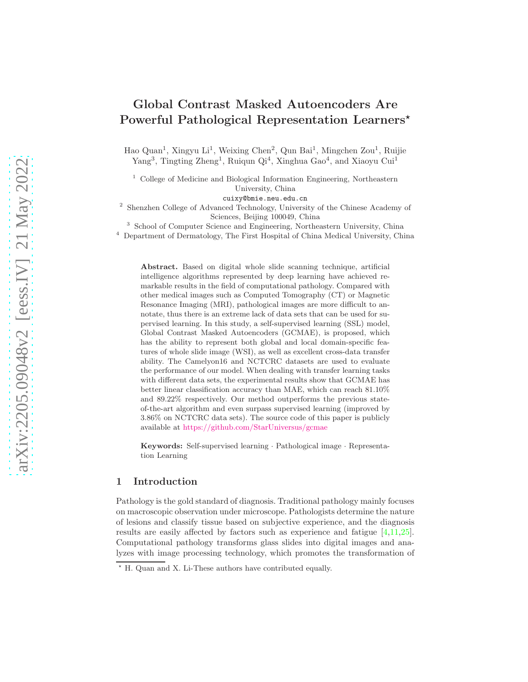# Global Contrast Masked Autoencoders Are Powerful Pathological Representation Learners<sup>\*</sup>

Hao Quan<sup>1</sup>, Xingyu Li<sup>1</sup>, Weixing Chen<sup>2</sup>, Qun Bai<sup>1</sup>, Mingchen Zou<sup>1</sup>, Ruijie Yang<sup>3</sup>, Tingting Zheng<sup>1</sup>, Ruiqun Qi<sup>4</sup>, Xinghua Gao<sup>4</sup>, and Xiaoyu Cui<sup>1</sup>

 $^{\rm 1}$  College of Medicine and Biological Information Engineering, Northeastern University, China

cuixy@bmie.neu.edu.cn

2 Shenzhen College of Advanced Technology, University of the Chinese Academy of Sciences, Beijing 100049, China

3 School of Computer Science and Engineering, Northeastern University, China

<sup>4</sup> Department of Dermatology, The First Hospital of China Medical University, China

Abstract. Based on digital whole slide scanning technique, artificial intelligence algorithms represented by deep learning have achieved remarkable results in the field of computational pathology. Compared with other medical images such as Computed Tomography (CT) or Magnetic Resonance Imaging (MRI), pathological images are more difficult to annotate, thus there is an extreme lack of data sets that can be used for supervised learning. In this study, a self-supervised learning (SSL) model, Global Contrast Masked Autoencoders (GCMAE), is proposed, which has the ability to represent both global and local domain-specific features of whole slide image (WSI), as well as excellent cross-data transfer ability. The Camelyon16 and NCTCRC datasets are used to evaluate the performance of our model. When dealing with transfer learning tasks with different data sets, the experimental results show that GCMAE has better linear classification accuracy than MAE, which can reach 81.10% and 89.22% respectively. Our method outperforms the previous stateof-the-art algorithm and even surpass supervised learning (improved by 3.86% on NCTCRC data sets). The source code of this paper is publicly available at <https://github.com/StarUniversus/gcmae>

Keywords: Self-supervised learning · Pathological image · Representation Learning

## 1 Introduction

Pathology is the gold standard of diagnosis. Traditional pathology mainly focuses on macroscopic observation under microscope. Pathologists determine the nature of lesions and classify tissue based on subjective experience, and the diagnosis results are easily affected by factors such as experience and fatigue [\[4](#page-9-0)[,11](#page-9-1)[,25\]](#page-10-0). Computational pathology transforms glass slides into digital images and analyzes with image processing technology, which promotes the transformation of

 $\overline{\phantom{a}^{\star}$  H. Quan and X. Li-These authors have contributed equally.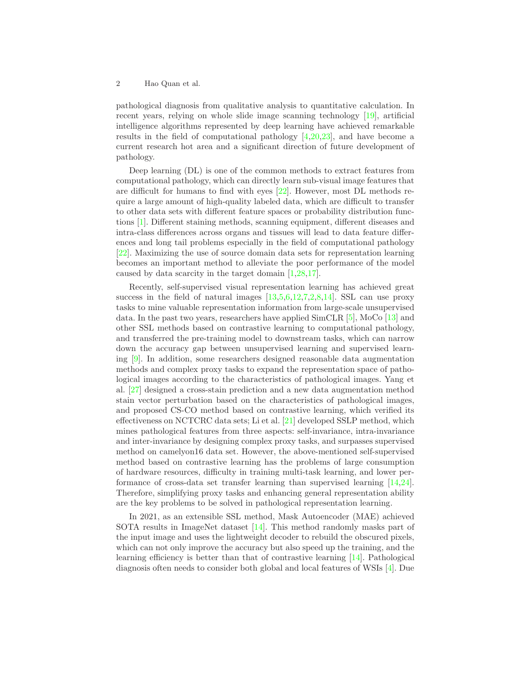pathological diagnosis from qualitative analysis to quantitative calculation. In recent years, relying on whole slide image scanning technology [\[19\]](#page-9-2), artificial intelligence algorithms represented by deep learning have achieved remarkable results in the field of computational pathology [\[4](#page-9-0)[,20](#page-10-1)[,23\]](#page-10-2), and have become a current research hot area and a significant direction of future development of pathology.

Deep learning (DL) is one of the common methods to extract features from computational pathology, which can directly learn sub-visual image features that are difficult for humans to find with eyes [\[22\]](#page-10-3). However, most DL methods require a large amount of high-quality labeled data, which are difficult to transfer to other data sets with different feature spaces or probability distribution functions [\[1\]](#page-9-3). Different staining methods, scanning equipment, different diseases and intra-class differences across organs and tissues will lead to data feature differences and long tail problems especially in the field of computational pathology [\[22\]](#page-10-3). Maximizing the use of source domain data sets for representation learning becomes an important method to alleviate the poor performance of the model caused by data scarcity in the target domain [\[1](#page-9-3)[,28,](#page-10-4)[17\]](#page-9-4).

Recently, self-supervised visual representation learning has achieved great success in the field of natural images  $[13,5,6,12,7,2,8,14]$  $[13,5,6,12,7,2,8,14]$  $[13,5,6,12,7,2,8,14]$  $[13,5,6,12,7,2,8,14]$  $[13,5,6,12,7,2,8,14]$  $[13,5,6,12,7,2,8,14]$  $[13,5,6,12,7,2,8,14]$  $[13,5,6,12,7,2,8,14]$ . SSL can use proxy tasks to mine valuable representation information from large-scale unsupervised data. In the past two years, researchers have applied  $SimCLR$  [\[5\]](#page-9-6), MoCo [\[13\]](#page-9-5) and other SSL methods based on contrastive learning to computational pathology, and transferred the pre-training model to downstream tasks, which can narrow down the accuracy gap between unsupervised learning and supervised learning [\[9\]](#page-9-13). In addition, some researchers designed reasonable data augmentation methods and complex proxy tasks to expand the representation space of pathological images according to the characteristics of pathological images. Yang et al. [\[27\]](#page-10-5) designed a cross-stain prediction and a new data augmentation method stain vector perturbation based on the characteristics of pathological images, and proposed CS-CO method based on contrastive learning, which verified its effectiveness on NCTCRC data sets; Li et al. [\[21\]](#page-10-6) developed SSLP method, which mines pathological features from three aspects: self-invariance, intra-invariance and inter-invariance by designing complex proxy tasks, and surpasses supervised method on camelyon16 data set. However, the above-mentioned self-supervised method based on contrastive learning has the problems of large consumption of hardware resources, difficulty in training multi-task learning, and lower performance of cross-data set transfer learning than supervised learning [\[14](#page-9-12)[,24\]](#page-10-7). Therefore, simplifying proxy tasks and enhancing general representation ability are the key problems to be solved in pathological representation learning.

In 2021, as an extensible SSL method, Mask Autoencoder (MAE) achieved SOTA results in ImageNet dataset [\[14\]](#page-9-12). This method randomly masks part of the input image and uses the lightweight decoder to rebuild the obscured pixels, which can not only improve the accuracy but also speed up the training, and the learning efficiency is better than that of contrastive learning [\[14\]](#page-9-12). Pathological diagnosis often needs to consider both global and local features of WSIs [\[4\]](#page-9-0). Due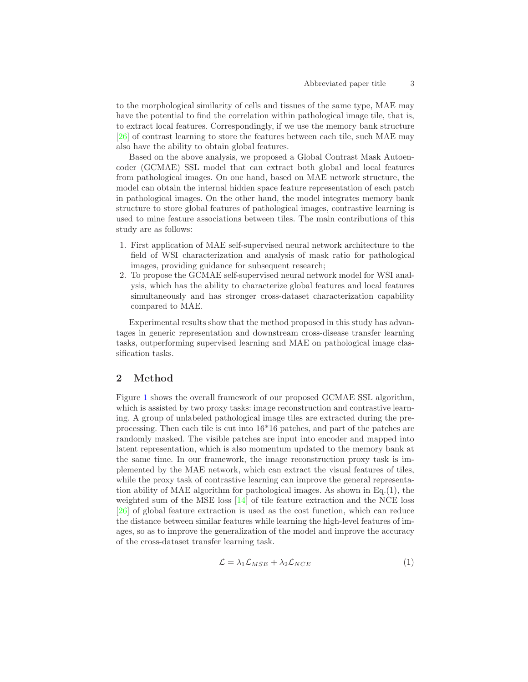to the morphological similarity of cells and tissues of the same type, MAE may have the potential to find the correlation within pathological image tile, that is, to extract local features. Correspondingly, if we use the memory bank structure [\[26\]](#page-10-8) of contrast learning to store the features between each tile, such MAE may also have the ability to obtain global features.

Based on the above analysis, we proposed a Global Contrast Mask Autoencoder (GCMAE) SSL model that can extract both global and local features from pathological images. On one hand, based on MAE network structure, the model can obtain the internal hidden space feature representation of each patch in pathological images. On the other hand, the model integrates memory bank structure to store global features of pathological images, contrastive learning is used to mine feature associations between tiles. The main contributions of this study are as follows:

- 1. First application of MAE self-supervised neural network architecture to the field of WSI characterization and analysis of mask ratio for pathological images, providing guidance for subsequent research;
- 2. To propose the GCMAE self-supervised neural network model for WSI analysis, which has the ability to characterize global features and local features simultaneously and has stronger cross-dataset characterization capability compared to MAE.

Experimental results show that the method proposed in this study has advantages in generic representation and downstream cross-disease transfer learning tasks, outperforming supervised learning and MAE on pathological image classification tasks.

# 2 Method

Figure [1](#page-3-0) shows the overall framework of our proposed GCMAE SSL algorithm, which is assisted by two proxy tasks: image reconstruction and contrastive learning. A group of unlabeled pathological image tiles are extracted during the preprocessing. Then each tile is cut into 16\*16 patches, and part of the patches are randomly masked. The visible patches are input into encoder and mapped into latent representation, which is also momentum updated to the memory bank at the same time. In our framework, the image reconstruction proxy task is implemented by the MAE network, which can extract the visual features of tiles, while the proxy task of contrastive learning can improve the general representation ability of MAE algorithm for pathological images. As shown in Eq.(1), the weighted sum of the MSE loss [\[14\]](#page-9-12) of tile feature extraction and the NCE loss [\[26\]](#page-10-8) of global feature extraction is used as the cost function, which can reduce the distance between similar features while learning the high-level features of images, so as to improve the generalization of the model and improve the accuracy of the cross-dataset transfer learning task.

$$
\mathcal{L} = \lambda_1 \mathcal{L}_{MSE} + \lambda_2 \mathcal{L}_{NCE} \tag{1}
$$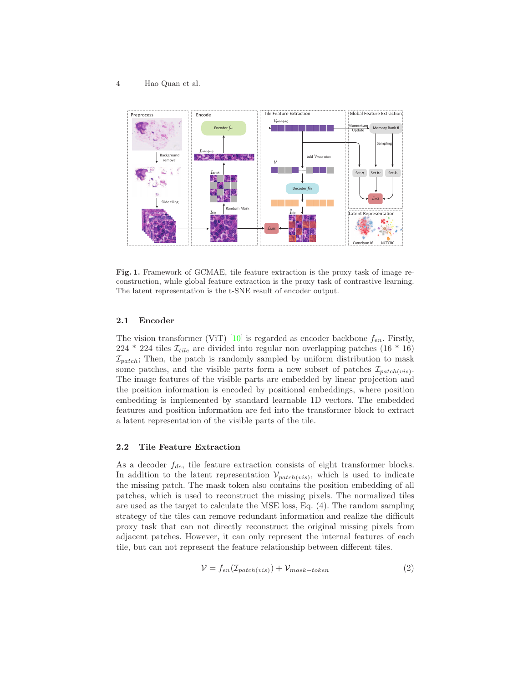

<span id="page-3-0"></span>Fig. 1. Framework of GCMAE, tile feature extraction is the proxy task of image reconstruction, while global feature extraction is the proxy task of contrastive learning. The latent representation is the t-SNE result of encoder output.

#### 2.1 Encoder

The vision transformer (ViT) [\[10\]](#page-9-14) is regarded as encoder backbone  $f_{en}$ . Firstly, 224 \* 224 tiles  $\mathcal{I}_{tile}$  are divided into regular non overlapping patches (16 \* 16)  $\mathcal{I}_{patch}$ ; Then, the patch is randomly sampled by uniform distribution to mask some patches, and the visible parts form a new subset of patches  $\mathcal{I}_{patch(vis)}$ . The image features of the visible parts are embedded by linear projection and the position information is encoded by positional embeddings, where position embedding is implemented by standard learnable 1D vectors. The embedded features and position information are fed into the transformer block to extract a latent representation of the visible parts of the tile.

#### 2.2 Tile Feature Extraction

As a decoder  $f_{de}$ , tile feature extraction consists of eight transformer blocks. In addition to the latent representation  $\mathcal{V}_{patch(vis)}$ , which is used to indicate the missing patch. The mask token also contains the position embedding of all patches, which is used to reconstruct the missing pixels. The normalized tiles are used as the target to calculate the MSE loss, Eq. (4). The random sampling strategy of the tiles can remove redundant information and realize the difficult proxy task that can not directly reconstruct the original missing pixels from adjacent patches. However, it can only represent the internal features of each tile, but can not represent the feature relationship between different tiles.

$$
\mathcal{V} = f_{en}(\mathcal{I}_{patch(vis)}) + \mathcal{V}_{mask-token}
$$
\n(2)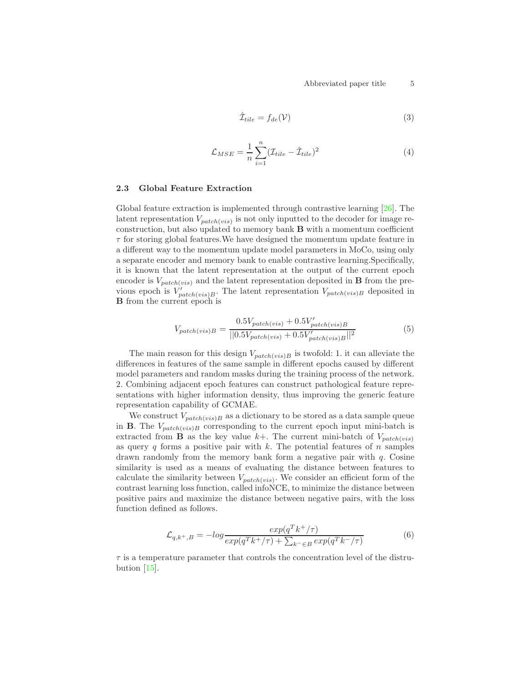$$
\hat{\mathcal{I}}_{tile} = f_{de}(\mathcal{V})
$$
\n(3)

$$
\mathcal{L}_{MSE} = \frac{1}{n} \sum_{i=1}^{n} (\mathcal{I}_{tile} - \hat{\mathcal{I}}_{tile})^2
$$
\n(4)

#### 2.3 Global Feature Extraction

Global feature extraction is implemented through contrastive learning [\[26\]](#page-10-8). The latent representation  $V_{patch(vis)}$  is not only inputted to the decoder for image reconstruction, but also updated to memory bank B with a momentum coefficient  $\tau$  for storing global features. We have designed the momentum update feature in a different way to the momentum update model parameters in MoCo, using only a separate encoder and memory bank to enable contrastive learning.Specifically, it is known that the latent representation at the output of the current epoch encoder is  $V_{patch(vis)}$  and the latent representation deposited in **B** from the previous epoch is  $V'_{patch(vis)B}$ . The latent representation  $V_{patch(vis)B}$  deposited in B from the current epoch is

$$
V_{patch(vis)B} = \frac{0.5V_{patch(vis)} + 0.5V'_{patch(vis)B}}{||0.5V_{patch(vis)} + 0.5V'_{patch(vis)B}||^2}
$$
(5)

The main reason for this design  $V_{patch(vis)B}$  is twofold: 1. it can alleviate the differences in features of the same sample in different epochs caused by different model parameters and random masks during the training process of the network. 2. Combining adjacent epoch features can construct pathological feature representations with higher information density, thus improving the generic feature representation capability of GCMAE.

We construct  $V_{patch(vis)B}$  as a dictionary to be stored as a data sample queue in **B**. The  $V_{patch(vis)B}$  corresponding to the current epoch input mini-batch is extracted from **B** as the key value  $k+$ . The current mini-batch of  $V_{patch(vis)}$ as query  $q$  forms a positive pair with  $k$ . The potential features of  $n$  samples drawn randomly from the memory bank form a negative pair with  $q$ . Cosine similarity is used as a means of evaluating the distance between features to calculate the similarity between  $V_{patch(vis)}$ . We consider an efficient form of the contrast learning loss function, called infoNCE, to minimize the distance between positive pairs and maximize the distance between negative pairs, with the loss function defined as follows.

$$
\mathcal{L}_{q,k^+,B} = -\log \frac{\exp(q^T k^+ / \tau)}{\exp(q^T k^+ / \tau) + \sum_{k^- \in B} \exp(q^T k^- / \tau)} \tag{6}
$$

 $\tau$  is a temperature parameter that controls the concentration level of the distrubution [\[15\]](#page-9-15).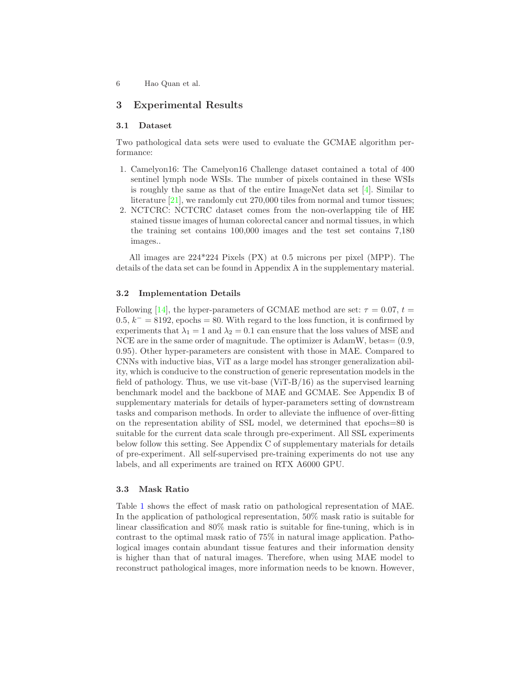## 3 Experimental Results

#### 3.1 Dataset

Two pathological data sets were used to evaluate the GCMAE algorithm performance:

- 1. Camelyon16: The Camelyon16 Challenge dataset contained a total of 400 sentinel lymph node WSIs. The number of pixels contained in these WSIs is roughly the same as that of the entire ImageNet data set [\[4\]](#page-9-0). Similar to literature [\[21\]](#page-10-6), we randomly cut 270,000 tiles from normal and tumor tissues;
- 2. NCTCRC: NCTCRC dataset comes from the non-overlapping tile of HE stained tissue images of human colorectal cancer and normal tissues, in which the training set contains 100,000 images and the test set contains 7,180 images..

All images are 224\*224 Pixels (PX) at 0.5 microns per pixel (MPP). The details of the data set can be found in Appendix A in the supplementary material.

#### 3.2 Implementation Details

Following [\[14\]](#page-9-12), the hyper-parameters of GCMAE method are set:  $\tau = 0.07$ ,  $t =$  $(0.5, k^- = 8192, \text{ epochs} = 80.$  With regard to the loss function, it is confirmed by experiments that  $\lambda_1 = 1$  and  $\lambda_2 = 0.1$  can ensure that the loss values of MSE and NCE are in the same order of magnitude. The optimizer is AdamW, betas= (0.9, 0.95). Other hyper-parameters are consistent with those in MAE. Compared to CNNs with inductive bias, ViT as a large model has stronger generalization ability, which is conducive to the construction of generic representation models in the field of pathology. Thus, we use vit-base (ViT-B/16) as the supervised learning benchmark model and the backbone of MAE and GCMAE. See Appendix B of supplementary materials for details of hyper-parameters setting of downstream tasks and comparison methods. In order to alleviate the influence of over-fitting on the representation ability of SSL model, we determined that epochs=80 is suitable for the current data scale through pre-experiment. All SSL experiments below follow this setting. See Appendix C of supplementary materials for details of pre-experiment. All self-supervised pre-training experiments do not use any labels, and all experiments are trained on RTX A6000 GPU.

#### 3.3 Mask Ratio

Table [1](#page-6-0) shows the effect of mask ratio on pathological representation of MAE. In the application of pathological representation, 50% mask ratio is suitable for linear classification and 80% mask ratio is suitable for fine-tuning, which is in contrast to the optimal mask ratio of 75% in natural image application. Pathological images contain abundant tissue features and their information density is higher than that of natural images. Therefore, when using MAE model to reconstruct pathological images, more information needs to be known. However,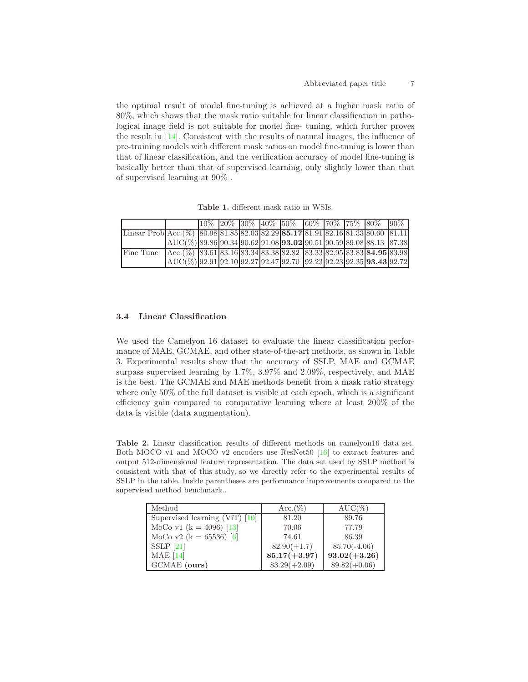the optimal result of model fine-tuning is achieved at a higher mask ratio of 80%, which shows that the mask ratio suitable for linear classification in pathological image field is not suitable for model fine- tuning, which further proves the result in [\[14\]](#page-9-12). Consistent with the results of natural images, the influence of pre-training models with different mask ratios on model fine-tuning is lower than that of linear classification, and the verification accuracy of model fine-tuning is basically better than that of supervised learning, only slightly lower than that of supervised learning at 90% .

<span id="page-6-0"></span>Table 1. different mask ratio in WSIs.

|                                                                                             |                                                                              |  |  |  |  | 10%  20%  30%  40%  50%  60%  70%  75%  80%  90% |  |
|---------------------------------------------------------------------------------------------|------------------------------------------------------------------------------|--|--|--|--|--------------------------------------------------|--|
| Linear Prob $ Acc. (\%)$ 80.98 81.85 82.03 82.29 <b>85.17</b> 81.91 82.16 81.33 80.60 81.11 |                                                                              |  |  |  |  |                                                  |  |
|                                                                                             | $AUC(\%)$ 89.86 90.34 90.62 91.08 <b>93.02</b> 90.51 90.59 89.08 88.13 87.38 |  |  |  |  |                                                  |  |
| Fine Tune                                                                                   | $ Acc. (\%)$ 83.61 83.16 83.34 83.38 82.82 83.33 82.95 83.83 84.95 83.98     |  |  |  |  |                                                  |  |
|                                                                                             | $AUC(\%)$ 92.91 92.10 92.27 92.47 92.70 92.23 92.23 92.35 <b>93.43</b> 92.72 |  |  |  |  |                                                  |  |

### 3.4 Linear Classification

We used the Camelyon 16 dataset to evaluate the linear classification performance of MAE, GCMAE, and other state-of-the-art methods, as shown in Table 3. Experimental results show that the accuracy of SSLP, MAE and GCMAE surpass supervised learning by 1.7%, 3.97% and 2.09%, respectively, and MAE is the best. The GCMAE and MAE methods benefit from a mask ratio strategy where only 50% of the full dataset is visible at each epoch, which is a significant efficiency gain compared to comparative learning where at least 200% of the data is visible (data augmentation).

Table 2. Linear classification results of different methods on camelyon16 data set. Both MOCO v1 and MOCO v2 encoders use ResNet50 [\[16\]](#page-9-16) to extract features and output 512-dimensional feature representation. The data set used by SSLP method is consistent with that of this study, so we directly refer to the experimental results of SSLP in the table. Inside parentheses are performance improvements compared to the supervised method benchmark..

| Method                           | $Acc. (\%)$    | $AUC(\%)$      |
|----------------------------------|----------------|----------------|
| Supervised learning $(ViT)$ [10] | 81.20          | 89.76          |
| MoCo v1 ( $k = 4096$ ) [13]      | 70.06          | 77.79          |
| MoCo v2 ( $k = 65536$ ) [6]      | 74.61          | 86.39          |
| SSLP [21]                        | $82.90(+1.7)$  | $85.70(-4.06)$ |
| <b>MAE</b> [14]                  | $85.17(+3.97)$ | $93.02(+3.26)$ |
| GCMAE (ours)                     | $83.29(+2.09)$ | $89.82(+0.06)$ |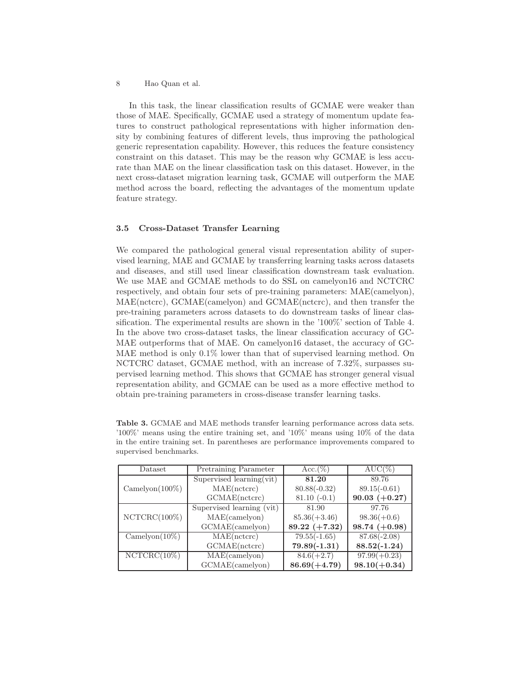In this task, the linear classification results of GCMAE were weaker than those of MAE. Specifically, GCMAE used a strategy of momentum update features to construct pathological representations with higher information density by combining features of different levels, thus improving the pathological generic representation capability. However, this reduces the feature consistency constraint on this dataset. This may be the reason why GCMAE is less accurate than MAE on the linear classification task on this dataset. However, in the next cross-dataset migration learning task, GCMAE will outperform the MAE method across the board, reflecting the advantages of the momentum update feature strategy.

#### 3.5 Cross-Dataset Transfer Learning

We compared the pathological general visual representation ability of supervised learning, MAE and GCMAE by transferring learning tasks across datasets and diseases, and still used linear classification downstream task evaluation. We use MAE and GCMAE methods to do SSL on camelyon16 and NCTCRC respectively, and obtain four sets of pre-training parameters: MAE(camelyon), MAE(nctcrc), GCMAE(camelyon) and GCMAE(nctcrc), and then transfer the pre-training parameters across datasets to do downstream tasks of linear classification. The experimental results are shown in the '100%' section of Table 4. In the above two cross-dataset tasks, the linear classification accuracy of GC-MAE outperforms that of MAE. On camelyon16 dataset, the accuracy of GC-MAE method is only 0.1% lower than that of supervised learning method. On NCTCRC dataset, GCMAE method, with an increase of 7.32%, surpasses supervised learning method. This shows that GCMAE has stronger general visual representation ability, and GCMAE can be used as a more effective method to obtain pre-training parameters in cross-disease transfer learning tasks.

| Dataset           | <b>Pretraining Parameter</b> | $Acc. (\%)$     | $AUC(\%)$       |
|-------------------|------------------------------|-----------------|-----------------|
|                   | Supervised learning $(vit)$  | 81.20           | 89.76           |
| $Camelyon(100\%)$ | MAE(nctcrc)                  | $80.88(-0.32)$  | $89.15(-0.61)$  |
|                   | GCMAE(nctcr)                 | $81.10(-0.1)$   | $90.03 (+0.27)$ |
|                   | Supervised learning (vit)    | 81.90           | 97.76           |
| $NCTCRC(100\%)$   | MAE(camelyon)                | $85.36(+3.46)$  | $98.36(+0.6)$   |
|                   | GCMAE(camelyon)              | $89.22 (+7.32)$ | $98.74 (+0.98)$ |
| $Camelyon(10\%)$  | MAE(nctcr)                   | $79.55(-1.65)$  | $87.68(-2.08)$  |
|                   | GCMAE(nctcre)                | $79.89(-1.31)$  | $88.52(-1.24)$  |
| $NCTERC(10\%)$    | MAE(camelyon)                | $84.6(+2.7)$    | $97.99(+0.23)$  |
|                   | GCMAE(camelyon)              | $86.69(+4.79)$  | $98.10(+0.34)$  |

Table 3. GCMAE and MAE methods transfer learning performance across data sets. '100%' means using the entire training set, and '10%' means using 10% of the data in the entire training set. In parentheses are performance improvements compared to supervised benchmarks.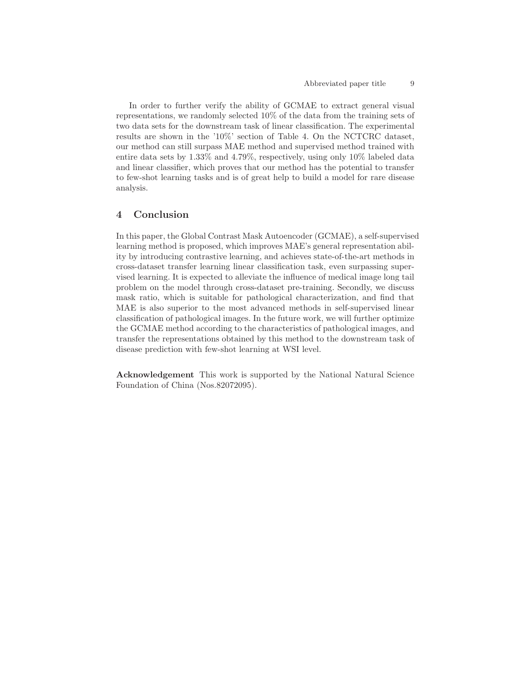In order to further verify the ability of GCMAE to extract general visual representations, we randomly selected 10% of the data from the training sets of two data sets for the downstream task of linear classification. The experimental results are shown in the '10%' section of Table 4. On the NCTCRC dataset, our method can still surpass MAE method and supervised method trained with entire data sets by 1.33% and 4.79%, respectively, using only 10% labeled data and linear classifier, which proves that our method has the potential to transfer to few-shot learning tasks and is of great help to build a model for rare disease analysis.

## 4 Conclusion

In this paper, the Global Contrast Mask Autoencoder (GCMAE), a self-supervised learning method is proposed, which improves MAE's general representation ability by introducing contrastive learning, and achieves state-of-the-art methods in cross-dataset transfer learning linear classification task, even surpassing supervised learning. It is expected to alleviate the influence of medical image long tail problem on the model through cross-dataset pre-training. Secondly, we discuss mask ratio, which is suitable for pathological characterization, and find that MAE is also superior to the most advanced methods in self-supervised linear classification of pathological images. In the future work, we will further optimize the GCMAE method according to the characteristics of pathological images, and transfer the representations obtained by this method to the downstream task of disease prediction with few-shot learning at WSI level.

Acknowledgement This work is supported by the National Natural Science Foundation of China (Nos.82072095).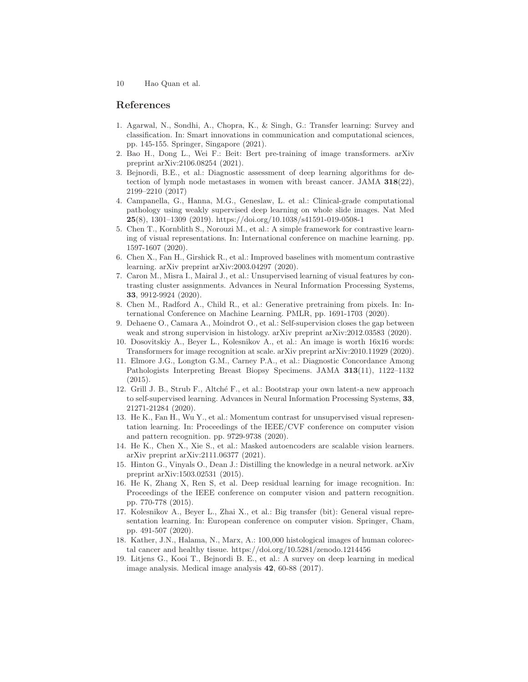## <span id="page-9-3"></span>References

- 1. Agarwal, N., Sondhi, A., Chopra, K., & Singh, G.: Transfer learning: Survey and classification. In: Smart innovations in communication and computational sciences, pp. 145-155. Springer, Singapore (2021).
- <span id="page-9-10"></span>2. Bao H., Dong L., Wei F.: Beit: Bert pre-training of image transformers. arXiv preprint arXiv:2106.08254 (2021).
- 3. Bejnordi, B.E., et al.: Diagnostic assessment of deep learning algorithms for detection of lymph node metastases in women with breast cancer. JAMA  $318(22)$ , 2199–2210 (2017)
- <span id="page-9-0"></span>4. Campanella, G., Hanna, M.G., Geneslaw, L. et al.: Clinical-grade computational pathology using weakly supervised deep learning on whole slide images. Nat Med 25(8), 1301–1309 (2019). https://doi.org/10.1038/s41591-019-0508-1
- <span id="page-9-6"></span>5. Chen T., Kornblith S., Norouzi M., et al.: A simple framework for contrastive learning of visual representations. In: International conference on machine learning. pp. 1597-1607 (2020).
- <span id="page-9-7"></span>6. Chen X., Fan H., Girshick R., et al.: Improved baselines with momentum contrastive learning. arXiv preprint arXiv:2003.04297 (2020).
- <span id="page-9-9"></span>7. Caron M., Misra I., Mairal J., et al.: Unsupervised learning of visual features by contrasting cluster assignments. Advances in Neural Information Processing Systems, 33, 9912-9924 (2020).
- <span id="page-9-11"></span>8. Chen M., Radford A., Child R., et al.: Generative pretraining from pixels. In: International Conference on Machine Learning. PMLR, pp. 1691-1703 (2020).
- <span id="page-9-13"></span>9. Dehaene O., Camara A., Moindrot O., et al.: Self-supervision closes the gap between weak and strong supervision in histology. arXiv preprint arXiv:2012.03583 (2020).
- <span id="page-9-14"></span>10. Dosovitskiy A., Beyer L., Kolesnikov A., et al.: An image is worth 16x16 words: Transformers for image recognition at scale. arXiv preprint arXiv:2010.11929 (2020).
- <span id="page-9-1"></span>11. Elmore J.G., Longton G.M., Carney P.A., et al.: Diagnostic Concordance Among Pathologists Interpreting Breast Biopsy Specimens. JAMA 313(11), 1122-1132 (2015).
- <span id="page-9-8"></span>12. Grill J. B., Strub F., Altch´e F., et al.: Bootstrap your own latent-a new approach to self-supervised learning. Advances in Neural Information Processing Systems, 33, 21271-21284 (2020).
- <span id="page-9-5"></span>13. He K., Fan H., Wu Y., et al.: Momentum contrast for unsupervised visual representation learning. In: Proceedings of the IEEE/CVF conference on computer vision and pattern recognition. pp. 9729-9738 (2020).
- <span id="page-9-12"></span>14. He K., Chen X., Xie S., et al.: Masked autoencoders are scalable vision learners. arXiv preprint arXiv:2111.06377 (2021).
- <span id="page-9-15"></span>15. Hinton G., Vinyals O., Dean J.: Distilling the knowledge in a neural network. arXiv preprint arXiv:1503.02531 (2015).
- <span id="page-9-16"></span>16. He K, Zhang X, Ren S, et al. Deep residual learning for image recognition. In: Proceedings of the IEEE conference on computer vision and pattern recognition. pp. 770-778 (2015).
- <span id="page-9-4"></span>17. Kolesnikov A., Beyer L., Zhai X., et al.: Big transfer (bit): General visual representation learning. In: European conference on computer vision. Springer, Cham, pp. 491-507 (2020).
- 18. Kather, J.N., Halama, N., Marx, A.: 100,000 histological images of human colorectal cancer and healthy tissue. https://doi.org/10.5281/zenodo.1214456
- <span id="page-9-2"></span>19. Litjens G., Kooi T., Bejnordi B. E., et al.: A survey on deep learning in medical image analysis. Medical image analysis 42, 60-88 (2017).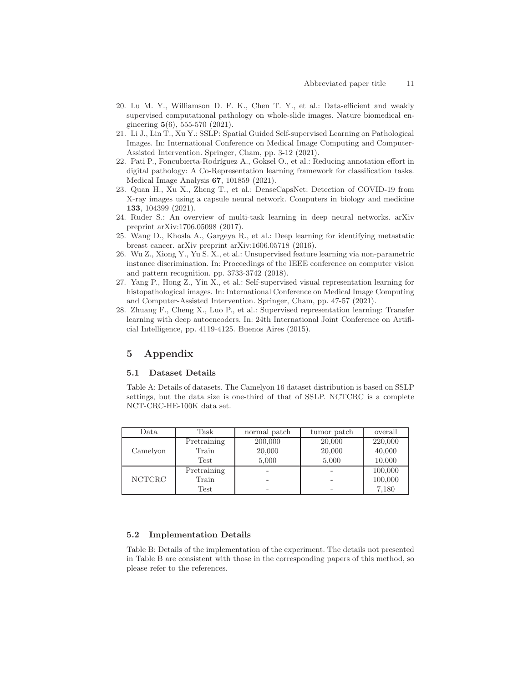- <span id="page-10-1"></span>20. Lu M. Y., Williamson D. F. K., Chen T. Y., et al.: Data-efficient and weakly supervised computational pathology on whole-slide images. Nature biomedical engineering 5(6), 555-570 (2021).
- <span id="page-10-6"></span>21. Li J., Lin T., Xu Y.: SSLP: Spatial Guided Self-supervised Learning on Pathological Images. In: International Conference on Medical Image Computing and Computer-Assisted Intervention. Springer, Cham, pp. 3-12 (2021).
- <span id="page-10-3"></span>22. Pati P., Foncubierta-Rodríguez A., Goksel O., et al.: Reducing annotation effort in digital pathology: A Co-Representation learning framework for classification tasks. Medical Image Analysis 67, 101859 (2021).
- <span id="page-10-2"></span>23. Quan H., Xu X., Zheng T., et al.: DenseCapsNet: Detection of COVID-19 from X-ray images using a capsule neural network. Computers in biology and medicine 133, 104399 (2021).
- <span id="page-10-7"></span>24. Ruder S.: An overview of multi-task learning in deep neural networks. arXiv preprint arXiv:1706.05098 (2017).
- <span id="page-10-0"></span>25. Wang D., Khosla A., Gargeya R., et al.: Deep learning for identifying metastatic breast cancer. arXiv preprint arXiv:1606.05718 (2016).
- <span id="page-10-8"></span>26. Wu Z., Xiong Y., Yu S. X., et al.: Unsupervised feature learning via non-parametric instance discrimination. In: Proceedings of the IEEE conference on computer vision and pattern recognition. pp. 3733-3742 (2018).
- <span id="page-10-5"></span>27. Yang P., Hong Z., Yin X., et al.: Self-supervised visual representation learning for histopathological images. In: International Conference on Medical Image Computing and Computer-Assisted Intervention. Springer, Cham, pp. 47-57 (2021).
- <span id="page-10-4"></span>28. Zhuang F., Cheng X., Luo P., et al.: Supervised representation learning: Transfer learning with deep autoencoders. In: 24th International Joint Conference on Artificial Intelligence, pp. 4119-4125. Buenos Aires (2015).

# 5 Appendix

#### 5.1 Dataset Details

Table A: Details of datasets. The Camelyon 16 dataset distribution is based on SSLP settings, but the data size is one-third of that of SSLP. NCTCRC is a complete NCT-CRC-HE-100K data set.

| Data          | Task        | normal patch | tumor patch | overall |
|---------------|-------------|--------------|-------------|---------|
|               | Pretraining | 200,000      | 20,000      | 220,000 |
| Camelyon      | Train       | 20,000       | 20,000      | 40,000  |
|               | Test        | 5,000        | 5,000       | 10,000  |
|               | Pretraining | -            |             | 100,000 |
| <b>NCTCRC</b> | Train       |              |             | 100,000 |
|               | Test        | -            |             | 7,180   |

#### 5.2 Implementation Details

Table B: Details of the implementation of the experiment. The details not presented in Table B are consistent with those in the corresponding papers of this method, so please refer to the references.